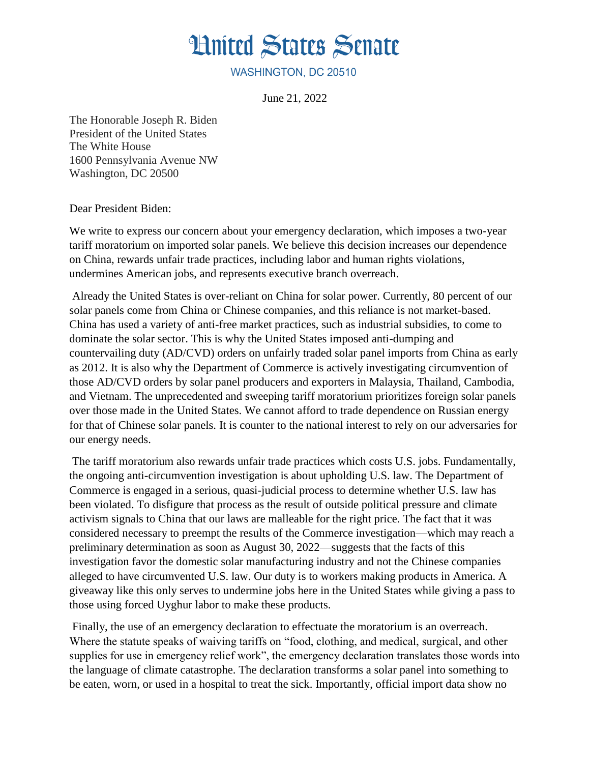## **Hnited States Senate**

WASHINGTON, DC 20510

June 21, 2022

The Honorable Joseph R. Biden President of the United States The White House 1600 Pennsylvania Avenue NW Washington, DC 20500

Dear President Biden:

We write to express our concern about your emergency declaration, which imposes a two-year tariff moratorium on imported solar panels. We believe this decision increases our dependence on China, rewards unfair trade practices, including labor and human rights violations, undermines American jobs, and represents executive branch overreach.

Already the United States is over-reliant on China for solar power. Currently, 80 percent of our solar panels come from China or Chinese companies, and this reliance is not market-based. China has used a variety of anti-free market practices, such as industrial subsidies, to come to dominate the solar sector. This is why the United States imposed anti-dumping and countervailing duty (AD/CVD) orders on unfairly traded solar panel imports from China as early as 2012. It is also why the Department of Commerce is actively investigating circumvention of those AD/CVD orders by solar panel producers and exporters in Malaysia, Thailand, Cambodia, and Vietnam. The unprecedented and sweeping tariff moratorium prioritizes foreign solar panels over those made in the United States. We cannot afford to trade dependence on Russian energy for that of Chinese solar panels. It is counter to the national interest to rely on our adversaries for our energy needs.

The tariff moratorium also rewards unfair trade practices which costs U.S. jobs. Fundamentally, the ongoing anti-circumvention investigation is about upholding U.S. law. The Department of Commerce is engaged in a serious, quasi-judicial process to determine whether U.S. law has been violated. To disfigure that process as the result of outside political pressure and climate activism signals to China that our laws are malleable for the right price. The fact that it was considered necessary to preempt the results of the Commerce investigation—which may reach a preliminary determination as soon as August 30, 2022—suggests that the facts of this investigation favor the domestic solar manufacturing industry and not the Chinese companies alleged to have circumvented U.S. law. Our duty is to workers making products in America. A giveaway like this only serves to undermine jobs here in the United States while giving a pass to those using forced Uyghur labor to make these products.

Finally, the use of an emergency declaration to effectuate the moratorium is an overreach. Where the statute speaks of waiving tariffs on "food, clothing, and medical, surgical, and other supplies for use in emergency relief work", the emergency declaration translates those words into the language of climate catastrophe. The declaration transforms a solar panel into something to be eaten, worn, or used in a hospital to treat the sick. Importantly, official import data show no